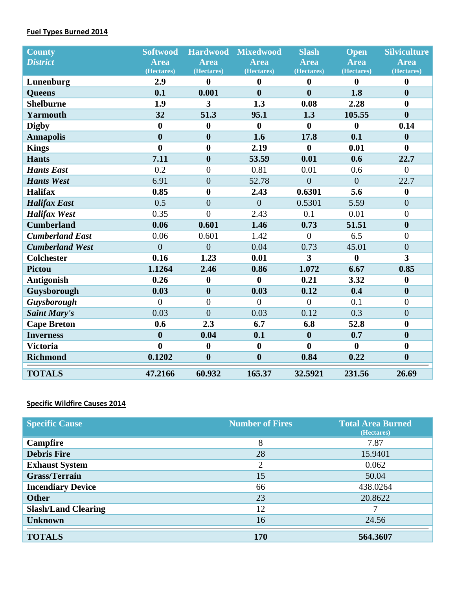### **Fuel Types Burned 2014**

| <b>County</b>          | <b>Softwood</b>  | <b>Hardwood</b>  | <b>Mixedwood</b> | <b>Slash</b>     | <b>Open</b>      | <b>Silviculture</b>     |
|------------------------|------------------|------------------|------------------|------------------|------------------|-------------------------|
| <b>District</b>        | <b>Area</b>      | Area             | Area             | <b>Area</b>      | <b>Area</b>      | <b>Area</b>             |
|                        | (Hectares)       | (Hectares)       | (Hectares)       | (Hectares)       | (Hectares)       | (Hectares)              |
| Lunenburg              | 2.9              | $\bf{0}$         | $\bf{0}$         | $\boldsymbol{0}$ | $\mathbf{0}$     | $\bf{0}$                |
| <b>Queens</b>          | 0.1              | 0.001            | $\boldsymbol{0}$ | $\bf{0}$         | 1.8              | $\boldsymbol{0}$        |
| <b>Shelburne</b>       | 1.9              | 3                | 1.3              | 0.08             | 2.28             | $\boldsymbol{0}$        |
| <b>Yarmouth</b>        | 32               | 51.3             | 95.1             | 1.3              | 105.55           | $\boldsymbol{0}$        |
| <b>Digby</b>           | $\bf{0}$         | $\boldsymbol{0}$ | $\boldsymbol{0}$ | $\boldsymbol{0}$ | $\boldsymbol{0}$ | 0.14                    |
| <b>Annapolis</b>       | $\bf{0}$         | $\boldsymbol{0}$ | 1.6              | 17.8             | 0.1              | $\boldsymbol{0}$        |
| <b>Kings</b>           | $\bf{0}$         | $\boldsymbol{0}$ | 2.19             | $\boldsymbol{0}$ | 0.01             | $\bf{0}$                |
| <b>Hants</b>           | 7.11             | $\boldsymbol{0}$ | 53.59            | 0.01             | 0.6              | 22.7                    |
| <b>Hants East</b>      | 0.2              | $\overline{0}$   | 0.81             | 0.01             | 0.6              | $\overline{0}$          |
| <b>Hants West</b>      | 6.91             | $\overline{0}$   | 52.78            | $\boldsymbol{0}$ | $\overline{0}$   | 22.7                    |
| <b>Halifax</b>         | 0.85             | $\boldsymbol{0}$ | 2.43             | 0.6301           | 5.6              | $\boldsymbol{0}$        |
| <b>Halifax East</b>    | 0.5              | $\overline{0}$   | $\overline{0}$   | 0.5301           | 5.59             | $\mathbf{0}$            |
| <b>Halifax West</b>    | 0.35             | $\theta$         | 2.43             | 0.1              | 0.01             | $\overline{0}$          |
| <b>Cumberland</b>      | 0.06             | 0.601            | 1.46             | 0.73             | 51.51            | $\boldsymbol{0}$        |
| <b>Cumberland East</b> | 0.06             | 0.601            | 1.42             | $\overline{0}$   | 6.5              | $\boldsymbol{0}$        |
| <b>Cumberland West</b> | $\theta$         | $\theta$         | 0.04             | 0.73             | 45.01            | $\overline{0}$          |
| <b>Colchester</b>      | 0.16             | 1.23             | 0.01             | $\overline{3}$   | $\boldsymbol{0}$ | $\overline{\mathbf{3}}$ |
| <b>Pictou</b>          | 1.1264           | 2.46             | 0.86             | 1.072            | 6.67             | 0.85                    |
| <b>Antigonish</b>      | 0.26             | $\boldsymbol{0}$ | $\bf{0}$         | 0.21             | 3.32             | $\boldsymbol{0}$        |
| Guysborough            | 0.03             | $\boldsymbol{0}$ | 0.03             | 0.12             | 0.4              | $\boldsymbol{0}$        |
| Guysborough            | $\overline{0}$   | $\overline{0}$   | $\overline{0}$   | $\overline{0}$   | 0.1              | $\boldsymbol{0}$        |
| <b>Saint Mary's</b>    | 0.03             | $\overline{0}$   | 0.03             | 0.12             | 0.3              | $\boldsymbol{0}$        |
| <b>Cape Breton</b>     | 0.6              | 2.3              | 6.7              | 6.8              | 52.8             | $\boldsymbol{0}$        |
| <b>Inverness</b>       | $\boldsymbol{0}$ | 0.04             | 0.1              | $\boldsymbol{0}$ | 0.7              | $\boldsymbol{0}$        |
| <b>Victoria</b>        | $\bf{0}$         | $\boldsymbol{0}$ | $\boldsymbol{0}$ | $\boldsymbol{0}$ | $\mathbf{0}$     | $\bf{0}$                |
| <b>Richmond</b>        | 0.1202           | $\boldsymbol{0}$ | $\bf{0}$         | 0.84             | 0.22             | $\boldsymbol{0}$        |
| <b>TOTALS</b>          | 47.2166          | 60.932           | 165.37           | 32.5921          | 231.56           | 26.69                   |

# **Specific Wildfire Causes 2014**

| <b>Specific Cause</b>      | <b>Number of Fires</b> | <b>Total Area Burned</b><br>(Hectares) |
|----------------------------|------------------------|----------------------------------------|
| <b>Campfire</b>            | 8                      | 7.87                                   |
| <b>Debris Fire</b>         | 28                     | 15.9401                                |
| <b>Exhaust System</b>      | $\overline{2}$         | 0.062                                  |
| <b>Grass/Terrain</b>       | 15                     | 50.04                                  |
| <b>Incendiary Device</b>   | 66                     | 438.0264                               |
| <b>Other</b>               | 23                     | 20.8622                                |
| <b>Slash/Land Clearing</b> | 12                     | 7                                      |
| <b>Unknown</b>             | 16                     | 24.56                                  |
|                            |                        |                                        |
| <b>TOTALS</b>              | <b>170</b>             | 564.3607                               |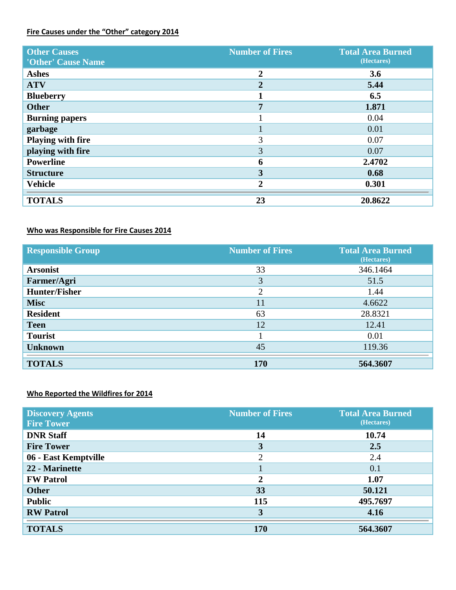### **Fire Causes under the "Other" category 2014**

| <b>Other Causes</b><br>'Other' Cause Name | <b>Number of Fires</b> | <b>Total Area Burned</b><br>(Hectares) |
|-------------------------------------------|------------------------|----------------------------------------|
| <b>Ashes</b>                              | $\overline{2}$         | 3.6                                    |
| <b>ATV</b>                                | $\mathbf{2}$           | 5.44                                   |
| <b>Blueberry</b>                          |                        | 6.5                                    |
| <b>Other</b>                              | 7                      | 1.871                                  |
| <b>Burning papers</b>                     |                        | 0.04                                   |
| garbage                                   |                        | 0.01                                   |
| <b>Playing with fire</b>                  | 3                      | 0.07                                   |
| playing with fire                         | 3                      | 0.07                                   |
| <b>Powerline</b>                          | 6                      | 2.4702                                 |
| <b>Structure</b>                          | 3                      | 0.68                                   |
| <b>Vehicle</b>                            | $\mathbf{2}$           | 0.301                                  |
| <b>TOTALS</b>                             | 23                     | 20.8622                                |

## **Who was Responsible for Fire Causes 2014**

| <b>Responsible Group</b> | <b>Number of Fires</b> | <b>Total Area Burned</b><br>(Hectares) |
|--------------------------|------------------------|----------------------------------------|
| <b>Arsonist</b>          | 33                     | 346.1464                               |
| Farmer/Agri              | 3                      | 51.5                                   |
| <b>Hunter/Fisher</b>     | $\overline{2}$         | 1.44                                   |
| <b>Misc</b>              | 11                     | 4.6622                                 |
| <b>Resident</b>          | 63                     | 28.8321                                |
| <b>Teen</b>              | 12                     | 12.41                                  |
| <b>Tourist</b>           |                        | 0.01                                   |
| <b>Unknown</b>           | 45                     | 119.36                                 |
| <b>TOTALS</b>            | 170                    | 564.3607                               |

### **Who Reported the Wildfires for 2014**

| <b>Discovery Agents</b> | <b>Number of Fires</b> | <b>Total Area Burned</b> |
|-------------------------|------------------------|--------------------------|
| <b>Fire Tower</b>       |                        | (Hectares)               |
| <b>DNR Staff</b>        | 14                     | 10.74                    |
| <b>Fire Tower</b>       | 3                      | 2.5                      |
| 06 - East Kemptville    | ∍                      | 2.4                      |
| 22 - Marinette          |                        | 0.1                      |
| <b>FW Patrol</b>        | 2                      | 1.07                     |
| <b>Other</b>            | 33                     | 50.121                   |
| <b>Public</b>           | 115                    | 495.7697                 |
| <b>RW</b> Patrol        | 3                      | 4.16                     |
| <b>TOTALS</b>           | 170                    | 564.3607                 |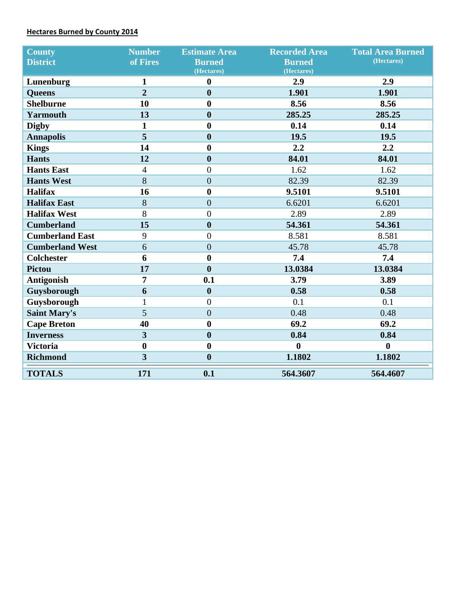### **Hectares Burned by County 2014**

| <b>County</b>          | <b>Number</b>           | <b>Estimate Area</b> | <b>Recorded Area</b> | <b>Total Area Burned</b> |
|------------------------|-------------------------|----------------------|----------------------|--------------------------|
| <b>District</b>        | of Fires                | <b>Burned</b>        | <b>Burned</b>        | (Hectares)               |
|                        |                         | (Hectares)           | (Hectares)           |                          |
| Lunenburg              | $\mathbf{1}$            | $\boldsymbol{0}$     | 2.9                  | 2.9                      |
| <b>Queens</b>          | $\overline{2}$          | $\boldsymbol{0}$     | 1.901                | 1.901                    |
| <b>Shelburne</b>       | 10                      | $\boldsymbol{0}$     | 8.56                 | 8.56                     |
| <b>Yarmouth</b>        | 13                      | $\boldsymbol{0}$     | 285.25               | 285.25                   |
| <b>Digby</b>           | $\mathbf{1}$            | $\boldsymbol{0}$     | 0.14                 | 0.14                     |
| <b>Annapolis</b>       | 5                       | $\boldsymbol{0}$     | 19.5                 | 19.5                     |
| <b>Kings</b>           | 14                      | $\boldsymbol{0}$     | 2.2                  | 2.2                      |
| <b>Hants</b>           | 12                      | $\boldsymbol{0}$     | 84.01                | 84.01                    |
| <b>Hants East</b>      | $\overline{4}$          | $\boldsymbol{0}$     | 1.62                 | 1.62                     |
| <b>Hants West</b>      | 8                       | $\overline{0}$       | 82.39                | 82.39                    |
| <b>Halifax</b>         | 16                      | $\boldsymbol{0}$     | 9.5101               | 9.5101                   |
| <b>Halifax East</b>    | 8                       | $\boldsymbol{0}$     | 6.6201               | 6.6201                   |
| <b>Halifax West</b>    | 8                       | $\boldsymbol{0}$     | 2.89                 | 2.89                     |
| <b>Cumberland</b>      | 15                      | $\boldsymbol{0}$     | 54.361               | 54.361                   |
| <b>Cumberland East</b> | 9                       | $\overline{0}$       | 8.581                | 8.581                    |
| <b>Cumberland West</b> | 6                       | $\overline{0}$       | 45.78                | 45.78                    |
| <b>Colchester</b>      | 6                       | $\boldsymbol{0}$     | 7.4                  | 7.4                      |
| <b>Pictou</b>          | 17                      | $\boldsymbol{0}$     | 13.0384              | 13.0384                  |
| <b>Antigonish</b>      | $\overline{7}$          | 0.1                  | 3.79                 | 3.89                     |
| Guysborough            | 6                       | $\boldsymbol{0}$     | 0.58                 | 0.58                     |
| Guysborough            | $\mathbf{1}$            | $\overline{0}$       | 0.1                  | 0.1                      |
| <b>Saint Mary's</b>    | 5                       | $\overline{0}$       | 0.48                 | 0.48                     |
| <b>Cape Breton</b>     | 40                      | $\boldsymbol{0}$     | 69.2                 | 69.2                     |
| <b>Inverness</b>       | $\overline{\mathbf{3}}$ | $\boldsymbol{0}$     | 0.84                 | 0.84                     |
| <b>Victoria</b>        | $\boldsymbol{0}$        | $\boldsymbol{0}$     | $\bf{0}$             | $\boldsymbol{0}$         |
| <b>Richmond</b>        | $\overline{\mathbf{3}}$ | $\boldsymbol{0}$     | 1.1802               | 1.1802                   |
| <b>TOTALS</b>          | 171                     | 0.1                  | 564.3607             | 564.4607                 |